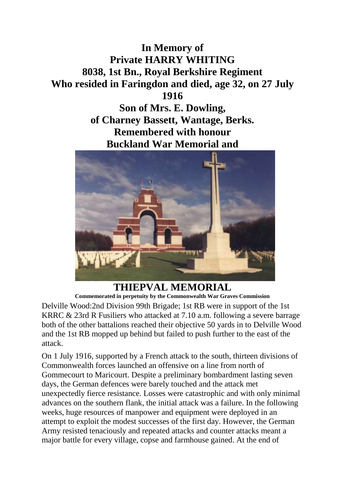## **In Memory of Private HARRY WHITING 8038, 1st Bn., Royal Berkshire Regiment Who resided in Faringdon and died, age 32, on 27 July 1916**

**Son of Mrs. E. Dowling, of Charney Bassett, Wantage, Berks. Remembered with honour Buckland War Memorial and**



**THIEPVAL MEMORIAL Commemorated in perpetuity by the Commonwealth War Graves Commission**

Delville Wood:2nd Division 99th Brigade; 1st RB were in support of the 1st KRRC & 23rd R Fusiliers who attacked at 7.10 a.m. following a severe barrage both of the other battalions reached their objective 50 yards in to Delville Wood and the 1st RB mopped up behind but failed to push further to the east of the attack.

On 1 July 1916, supported by a French attack to the south, thirteen divisions of Commonwealth forces launched an offensive on a line from north of Gommecourt to Maricourt. Despite a preliminary bombardment lasting seven days, the German defences were barely touched and the attack met unexpectedly fierce resistance. Losses were catastrophic and with only minimal advances on the southern flank, the initial attack was a failure. In the following weeks, huge resources of manpower and equipment were deployed in an attempt to exploit the modest successes of the first day. However, the German Army resisted tenaciously and repeated attacks and counter attacks meant a major battle for every village, copse and farmhouse gained. At the end of